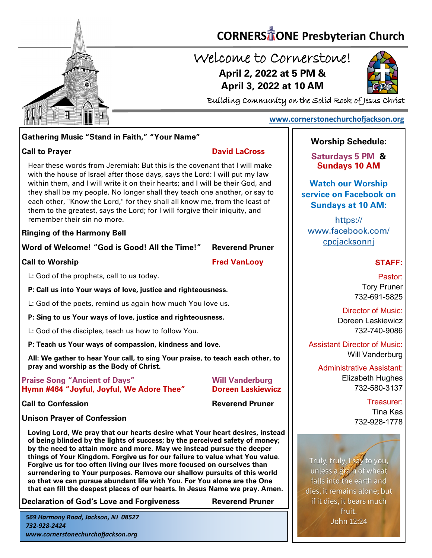

# **CORNERS** TONE Presbyterian Church

# Welcome to Cornerstone! **April 2, 2022 at 5 PM & April 3, 2022 at 10 AM**



Building Community on the Solid Rock of Jesus Christ

#### **[www.cornerstonechurchofjackson.org](http://www.cornerstonechurchofjackson.org)**

## **Gathering Music "Stand in Faith," "Your Name"**

#### **Call to Prayer David LaCross**

 with the house of Israel after those days, says the Lord: I will put my law Hear these words from Jeremiah: But this is the covenant that I will make within them, and I will write it on their hearts; and I will be their God, and they shall be my people. No longer shall they teach one another, or say to each other, "Know the Lord," for they shall all know me, from the least of them to the greatest, says the Lord; for I will forgive their iniquity, and remember their sin no more.

**Ringing of the Harmony Bell**

**Word of Welcome! "God is Good! All the Time!" Reverend Pruner**

**Call to Worship Fred VanLoov** 

L: God of the prophets, call to us today.

**P: Call us into Your ways of love, justice and righteousness.**

L: God of the poets, remind us again how much You love us.

**P: Sing to us Your ways of love, justice and righteousness.**

L: God of the disciples, teach us how to follow You.

**P: Teach us Your ways of compassion, kindness and love.**

**All: We gather to hear Your call, to sing Your praise, to teach each other, to pray and worship as the Body of Christ.**

#### **Praise Song "Ancient of Days" Will Vanderburg Hymn #464 "Joyful, Joyful, We Adore Thee" Doreen Laskiewicz**

**Call to Confession Reverend Pruner** 

## **Unison Prayer of Confession**

**Loving Lord, We pray that our hearts desire what Your heart desires, instead of being blinded by the lights of success; by the perceived safety of money; by the need to attain more and more. May we instead pursue the deeper things of Your Kingdom. Forgive us for our failure to value what You value. Forgive us for too often living our lives more focused on ourselves than surrendering to Your purposes. Remove our shallow pursuits of this world so that we can pursue abundant life with You. For You alone are the One that can fill the deepest places of our hearts. In Jesus Name we pray. Amen.**

**Declaration of God's Love and Forgiveness Reverend Pruner**

*569 Harmony Road, Jackson, NJ 08527 732-928-2424 www.cornerstonechurchofjackson.org*

## **Worship Schedule:**

**Saturdays 5 PM & Sundays 10 AM**

**Watch our Worship service on Facebook on Sundays at 10 AM:**

[https://](https://www.facebook.com/cpcjacksonnj) [www.facebook.com/](https://www.facebook.com/cpcjacksonnj) [cpcjacksonnj](https://www.facebook.com/cpcjacksonnj)

## **STAFF:**

Pastor: Tory Pruner 732-691-5825

Director of Music: Doreen Laskiewicz 732-740-9086

Assistant Director of Music: Will Vanderburg

Administrative Assistant: Elizabeth Hughes 732-580-3137

> Treasurer: Tina Kas 732-928-1778

Truly, truly, *Isay* to you, unless a grain of wheat falls into the earth and dies, it remains alone; but if it dies, it bears much fruit. John 12:24